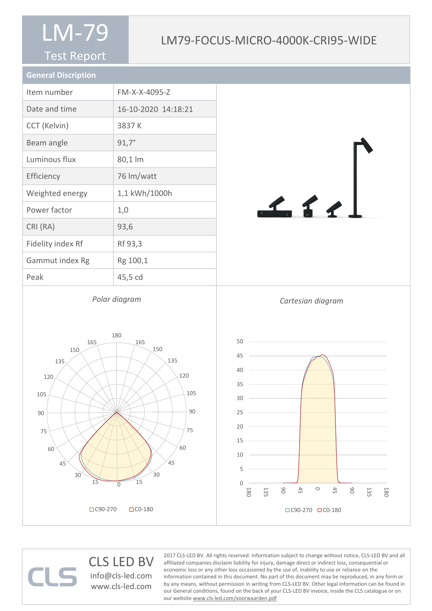#### Test Report

### LM79-FOCUS-MICRO-4000K-CRI95-WIDE

| <b>General Discription</b> |                     |
|----------------------------|---------------------|
| Item number                | FM-X-X-4095-Z       |
| Date and time              | 16-10-2020 14:18:21 |
| CCT (Kelvin)               | 3837K               |
| Beam angle                 | $91,7^{\circ}$      |
| Luminous flux              | 80,1 lm             |
| Efficiency                 | 76 lm/watt          |
| Weighted energy            | 1,1 kWh/1000h       |
| Power factor               | 1,0                 |
| CRI (RA)                   | 93,6                |
| Fidelity index Rf          | Rf 93,3             |
| Gammut index Rg            | Rg 100,1            |
| Peak                       | 45,5 cd             |
|                            |                     |

*Polar diagram*

 $111$ 

### CLS LED BV

info@cls-led.com www.cls-led.com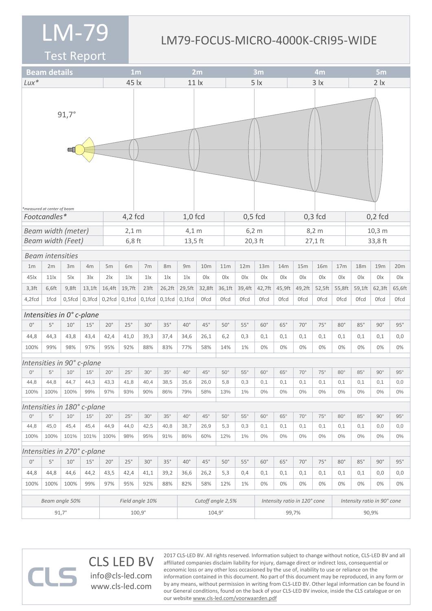#### LM79-FOCUS-MICRO-4000K-CRI95-WIDE

2017 CLS-LED BV. All rights reserved. Information subject to change without notice, CLS-LED BV and all affiliated companies disclaim liability for injury, damage direct or indirect loss, consequential or economic loss or any other loss occasioned by the use of, inability to use or reliance on the

information contained in this document. No part of this document may be reproduced, in any form or by any means, without permission in writing from CLS-LED BV. Other legal information can be found in our General conditions, found on the back of your CLS-LED BV invoice, inside the CLS catalogue or on

Test Report

|                             | <b>Beam details</b>         |                          |                             | 1 <sub>m</sub>  |                           |                 |                 | 2m                |                 |             |            | 3m           |                              |                 |                |             | 5 <sub>m</sub>  |                             |             |                  |  |
|-----------------------------|-----------------------------|--------------------------|-----------------------------|-----------------|---------------------------|-----------------|-----------------|-------------------|-----------------|-------------|------------|--------------|------------------------------|-----------------|----------------|-------------|-----------------|-----------------------------|-------------|------------------|--|
| $Lux*$                      |                             |                          | 45 lx                       |                 |                           |                 | 11 <sub>x</sub> |                   |                 |             |            |              |                              |                 | $3 \mid x$     |             | 2 <i>x</i>      |                             |             |                  |  |
|                             | *measured at center of beam | $91,7^{\circ}$           |                             |                 |                           |                 |                 |                   |                 |             |            | 5 <i>x</i>   |                              |                 |                |             |                 |                             |             |                  |  |
|                             | Footcandles*                |                          |                             |                 | $4,2$ fcd                 |                 |                 | $1,0$ fcd         |                 |             | $0,5$ fcd  |              |                              |                 |                | $0,3$ fcd   |                 | $0,2$ fcd                   |             |                  |  |
|                             | <b>Beam width (meter)</b>   |                          | $2,1$ m                     |                 |                           | $4,1 \text{ m}$ |                 |                   | $6,2 \text{ m}$ |             |            |              |                              | $8,2 \text{ m}$ |                | 10,3 m      |                 |                             |             |                  |  |
|                             |                             | <b>Beam width (Feet)</b> |                             |                 | $6,8$ ft                  |                 |                 |                   | $13,5$ ft       |             |            | 20,3 ft      |                              |                 |                | 27,1 ft     |                 | 33,8 ft                     |             |                  |  |
|                             | <b>Beam intensities</b>     |                          |                             |                 |                           |                 |                 |                   |                 |             |            |              |                              |                 |                |             |                 |                             |             |                  |  |
| 1 <sub>m</sub>              | 2m                          | 3m                       | 4m                          | 5m              | 6m                        | 7m              | 8m              | 9m                | 10 <sub>m</sub> |             | 11m        | 12m          | 13m                          | 14m             | 15m            | <b>16m</b>  | 17 <sub>m</sub> | 18m                         | 19m         | 20m              |  |
| $45\mathrm{k}$              | 11 <sub>x</sub>             | $5\text{lx}$             | 3x                          | $2\mathsf{x}$   | $1\text{lx}$              | $1\text{lx}$    | $1\text{lx}$    | 1 <sub>x</sub>    | 0lx             | 0lx         |            | 0lx          | 0lx                          | 0 <sup>l</sup>  | 0 <sup>l</sup> | 0lx         | 0lx             | 0lx                         | 0lx         | 0lx              |  |
| $3,3$ ft                    | 6,6ft                       | $9,8$ ft                 | $13,1$ ft                   | 16,4ft          | 19,7ft                    | 23ft            | 26,2ft          | 29,5ft            | 32,8ft          | 36,1ft      |            | 39,4ft       | 42,7ft                       | 45,9ft          | 49,2ft         | 52,5ft      | 55,8ft          | 59,1ft                      | 62,3ft      | 65,6ft           |  |
| 4,2fcd                      | 1fcd                        | $0,5$ fcd                | $0,3$ fcd                   |                 | $0,2$ fcd $\vert 0,1$ fcd | $0,1$ fcd       | $0,1$ fcd       | $0,1$ fcd         | <b>Ofcd</b>     | <b>Ofcd</b> |            | 0fcd         | <b>Ofcd</b>                  | <b>Ofcd</b>     | Ofcd           | <b>Ofcd</b> | <b>Ofcd</b>     | <b>Ofcd</b>                 | <b>Ofcd</b> | 0 <sub>fcd</sub> |  |
| Intensities in 0° c-plane   |                             |                          |                             |                 |                           |                 |                 |                   |                 |             |            |              |                              |                 |                |             |                 |                             |             |                  |  |
| $0^{\circ}$                 | $5^\circ$                   | $10^{\circ}$             | 15°                         | $20^{\circ}$    | $25^\circ$                | $30^{\circ}$    | $35^\circ$      | $40^{\circ}$      | $45^\circ$      | $50^\circ$  |            | $55^\circ$   | $60^\circ$                   | $65^\circ$      | $70^{\circ}$   | $75^\circ$  | $80^{\circ}$    | $85^\circ$                  | $90^\circ$  | 95°              |  |
| 44,8                        | 44,3                        | 43,8                     | 43,4                        | 42,4            | 41,0                      | 39,3            | 37,4            | 34,6              | 26,1            |             | 6,2        | 0,3          | 0,1                          | 0,1             | 0,1            | 0,1         | 0,1             | 0,1                         | 0,1         | 0,0              |  |
| 100%                        | 99%                         | 98%                      | 97%                         | 95%             | 92%                       | 88%             | 83%             | 77%               | 58%             |             | 14%        | 1%           | 0%                           | 0%              | 0%             | 0%          | 0%              | 0%                          | 0%          | 0%               |  |
|                             |                             |                          | Intensities in 90° c-plane  |                 |                           |                 |                 |                   |                 |             |            |              |                              |                 |                |             |                 |                             |             |                  |  |
| $0^{\circ}$                 | $5^{\circ}$                 | $10^{\circ}$             | $15^{\circ}$                | $20^{\circ}$    | $25^{\circ}$              | $30^\circ$      | $35^\circ$      | $40^{\circ}$      | $45^{\circ}$    |             | $50^\circ$ | $55^{\circ}$ | $60^\circ$                   | $65^\circ$      | $70^{\circ}$   | $75^\circ$  | $80^\circ$      | $85^\circ$                  | $90^\circ$  | $95^\circ$       |  |
| 44,8                        | 44,8                        | 44,7                     | 44,3                        | 43,3            | 41,8                      | 40,4            | 38,5            | 35,6              | 26,0            |             | 5,8        | 0,3          | 0,1                          | 0,1             | 0,1            | 0,1         | 0,1             | 0,1                         | 0,1         | 0,0              |  |
| 100%                        | 100%                        | 100%                     | 99%                         | 97%             | 93%                       | 90%             | 86%             | 79%               | 58%             |             | 13%        | 1%           | $0\%$                        | $0\%$           | $0\%$          | $0\%$       | $0\%$           | 0%                          | $0\%$       | $0\%$            |  |
|                             |                             |                          | Intensities in 180° c-plane |                 |                           |                 |                 |                   |                 |             |            |              |                              |                 |                |             |                 |                             |             |                  |  |
| $0^{\circ}$                 | $5^{\circ}$                 | $10^{\circ}$             | $15^{\circ}$                | $20^{\circ}$    | $25^{\circ}$              | $30^\circ$      | $35^\circ$      | $40^{\circ}$      | $45^{\circ}$    |             | $50^\circ$ | $55^{\circ}$ | $60^\circ$                   | $65^\circ$      | $70^{\circ}$   | $75^\circ$  | $80^\circ$      | $85^\circ$                  | $90^\circ$  | $95^\circ$       |  |
| 44,8                        | 45,0                        | 45,4                     | 45,4                        | 44,9            | 44,0                      | 42,5            | 40,8            | 38,7              | 26,9            |             | 5,3        | 0,3          | 0,1                          | 0,1             | 0,1            | 0,1         | 0,1             | 0,1                         | 0,0         | 0,0              |  |
| 100%                        | 100%                        | 101%                     | 101%                        | 100%            | 98%                       | 95%             | 91%             | 86%               | 60%             |             | 12%        | 1%           | $0\%$                        | $0\%$           | $0\%$          | $0\%$       | $0\%$           | $0\%$                       | $0\%$       | $0\%$            |  |
| Intensities in 270° c-plane |                             |                          |                             |                 |                           |                 |                 |                   |                 |             |            |              |                              |                 |                |             |                 |                             |             |                  |  |
| $0^{\circ}$                 | $5^{\circ}$                 | $10^{\circ}$             | 15°                         | $20^{\circ}$    | 25°                       | $30^\circ$      | $35^\circ$      | $40^{\circ}$      | $45^{\circ}$    |             | $50^\circ$ | $55^\circ$   | $60^\circ$                   | $65^\circ$      | $70^{\circ}$   | $75^\circ$  | $80^\circ$      | $85^\circ$                  | $90^\circ$  | 95°              |  |
| 44,8                        | 44,8                        | 44,6                     | 44,2                        | 43,5            | 42,4                      | 41,1            | 39,2            | 36,6              | 26,2            |             | 5,3        | 0,4          | 0,1                          | 0,1             | 0,1            | 0,1         | 0,1             | 0,1                         | 0,0         | 0,0              |  |
| 100%                        | 100%                        | 100%                     | 99%                         | 97%             | 95%                       | 92%             | 88%             | 82%               | 58%             |             | 12%        | 1%           | 0%                           | 0%              | 0%             | $0\%$       | $0\%$           | 0%                          | 0%          | 0%               |  |
| Beam angle 50%              |                             |                          |                             | Field angle 10% |                           |                 |                 | Cutoff angle 2,5% |                 |             |            |              | Intensity ratio in 120° cone |                 |                |             |                 | Intensity ratio in 90° cone |             |                  |  |
| $91,7^\circ$                |                             |                          |                             | $100,9^{\circ}$ |                           |                 |                 | $104.9^\circ$     |                 |             |            |              | 99,7%                        |                 |                |             | 90,9%           |                             |             |                  |  |

our website www.cls-led.com/voorwaarden.pdf

CLS LED BV info@cls-led.com www.cls-led.com

 $\Box$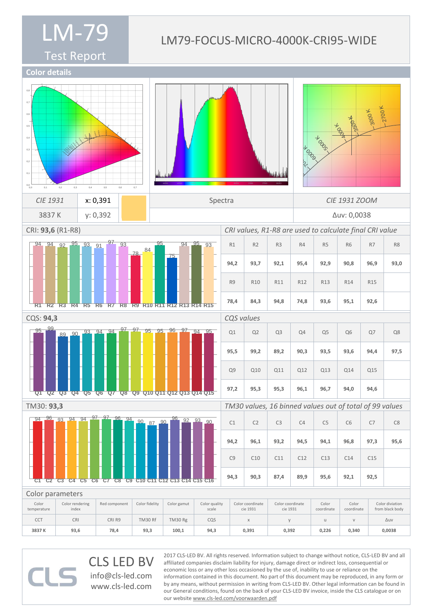#### LM79-FOCUS-MICRO-4000K-CRI95-WIDE

Test Report



CLS LED BV info@cls-led.com www.cls-led.com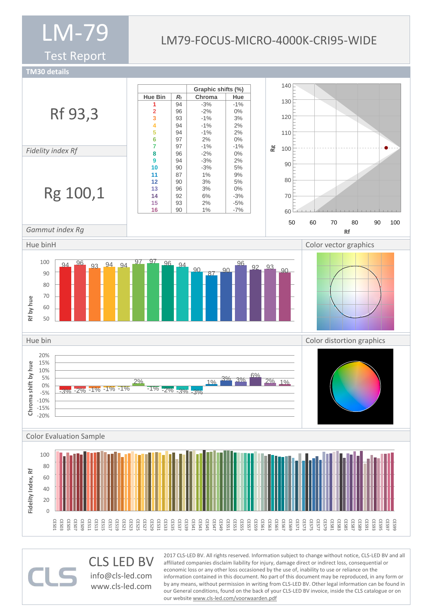Test Report

### LM79-FOCUS-MICRO-4000K-CRI95-WIDE

**TM30 details**



CLS LED BV info@cls-led.com www.cls-led.com